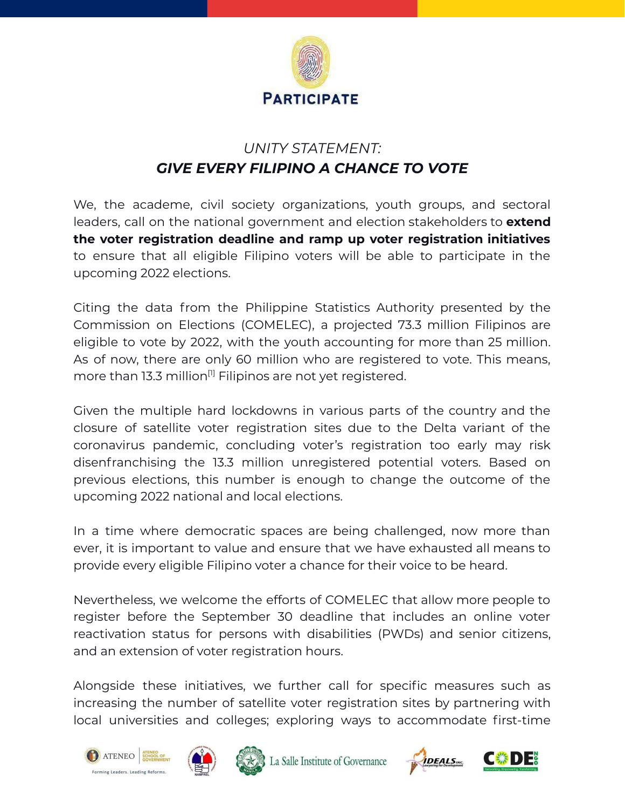

## *UNITY STATEMENT: GIVE EVERY FILIPINO A CHANCE TO VOTE*

We, the academe, civil society organizations, youth groups, and sectoral leaders, call on the national government and election stakeholders to **extend the voter registration deadline and ramp up voter registration initiatives** to ensure that all eligible Filipino voters will be able to participate in the upcoming 2022 elections.

Citing the data from the Philippine Statistics Authority presented by the Commission on Elections (COMELEC), a projected 73.3 million Filipinos are eligible to vote by 2022, with the youth accounting for more than 25 million. As of now, there are only 60 million who are registered to vote. This means, more than 13.3 million $^{\text{\tiny{[1]}}}$  Filipinos are not yet registered.

Given the multiple hard lockdowns in various parts of the country and the closure of satellite voter registration sites due to the Delta variant of the coronavirus pandemic, concluding voter's registration too early may risk disenfranchising the 13.3 million unregistered potential voters. Based on previous elections, this number is enough to change the outcome of the upcoming 2022 national and local elections.

In a time where democratic spaces are being challenged, now more than ever, it is important to value and ensure that we have exhausted all means to provide every eligible Filipino voter a chance for their voice to be heard.

Nevertheless, we welcome the efforts of COMELEC that allow more people to register before the September 30 deadline that includes an online voter reactivation status for persons with disabilities (PWDs) and senior citizens, and an extension of voter registration hours.

Alongside these initiatives, we further call for specific measures such as increasing the number of satellite voter registration sites by partnering with local universities and colleges; exploring ways to accommodate first-time





La Salle Institute of Governance



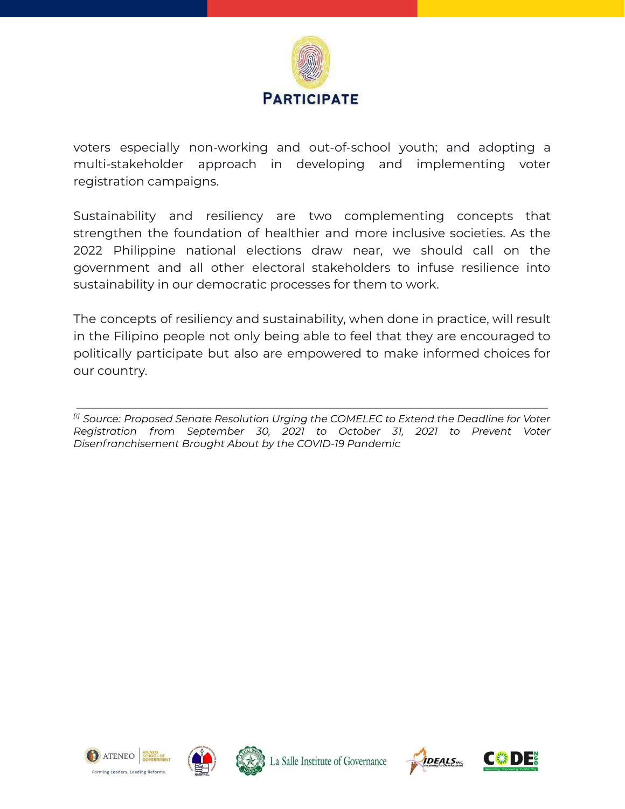

voters especially non-working and out-of-school youth; and adopting a multi-stakeholder approach in developing and implementing voter registration campaigns.

Sustainability and resiliency are two complementing concepts that strengthen the foundation of healthier and more inclusive societies. As the 2022 Philippine national elections draw near, we should call on the government and all other electoral stakeholders to infuse resilience into sustainability in our democratic processes for them to work.

The concepts of resiliency and sustainability, when done in practice, will result in the Filipino people not only being able to feel that they are encouraged to politically participate but also are empowered to make informed choices for our country.

*[1] Source: Proposed Senate Resolution Urging the COMELEC to Extend the Deadline for Voter Registration from September 30, 2021 to October 31, 2021 to Prevent Voter Disenfranchisement Brought About by the COVID-19 Pandemic*







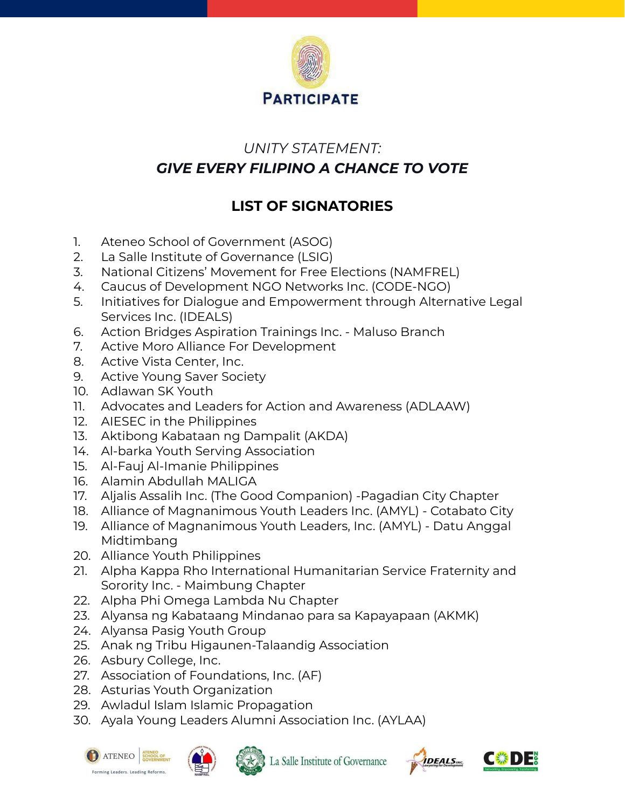

## *UNITY STATEMENT: GIVE EVERY FILIPINO A CHANCE TO VOTE*

## **LIST OF SIGNATORIES**

- 1. Ateneo School of Government (ASOG)
- 2. La Salle Institute of Governance (LSIG)
- 3. National Citizens' Movement for Free Elections (NAMFREL)
- 4. Caucus of Development NGO Networks Inc. (CODE-NGO)
- 5. Initiatives for Dialogue and Empowerment through Alternative Legal Services Inc. (IDEALS)
- 6. Action Bridges Aspiration Trainings Inc. Maluso Branch
- 7. Active Moro Alliance For Development
- 8. Active Vista Center, Inc.
- 9. Active Young Saver Society
- 10. Adlawan SK Youth
- 11. Advocates and Leaders for Action and Awareness (ADLAAW)
- 12. AIESEC in the Philippines
- 13. Aktibong Kabataan ng Dampalit (AKDA)
- 14. Al-barka Youth Serving Association
- 15. Al-Fauj Al-Imanie Philippines
- 16. Alamin Abdullah MALIGA
- 17. Aljalis Assalih Inc. (The Good Companion) -Pagadian City Chapter
- 18. Alliance of Magnanimous Youth Leaders Inc. (AMYL) Cotabato City
- 19. Alliance of Magnanimous Youth Leaders, Inc. (AMYL) Datu Anggal Midtimbang
- 20. Alliance Youth Philippines
- 21. Alpha Kappa Rho International Humanitarian Service Fraternity and Sorority Inc. - Maimbung Chapter
- 22. Alpha Phi Omega Lambda Nu Chapter
- 23. Alyansa ng Kabataang Mindanao para sa Kapayapaan (AKMK)
- 24. Alyansa Pasig Youth Group
- 25. Anak ng Tribu Higaunen-Talaandig Association
- 26. Asbury College, Inc.
- 27. Association of Foundations, Inc. (AF)
- 28. Asturias Youth Organization
- 29. Awladul Islam Islamic Propagation
- 30. Ayala Young Leaders Alumni Association Inc. (AYLAA)







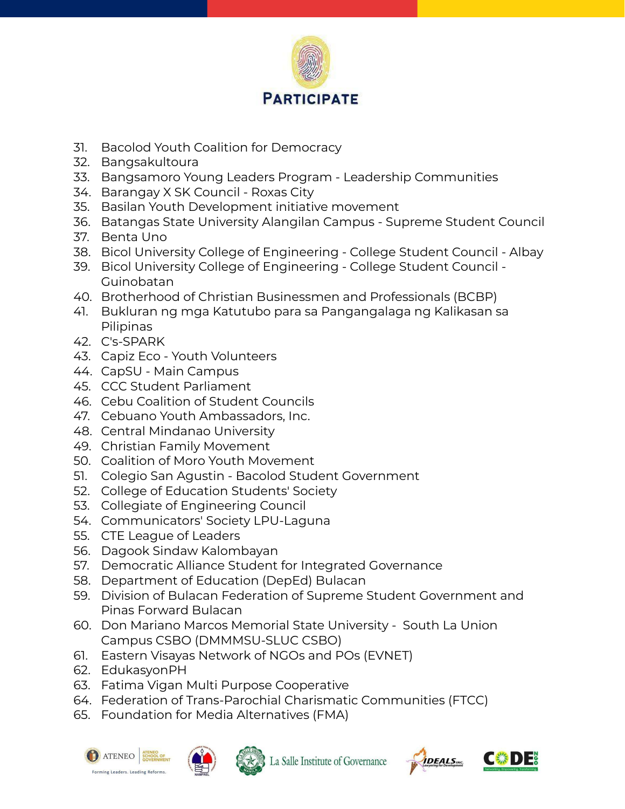

- 31. Bacolod Youth Coalition for Democracy
- 32. Bangsakultoura
- 33. Bangsamoro Young Leaders Program Leadership Communities
- 34. Barangay X SK Council Roxas City
- 35. Basilan Youth Development initiative movement
- 36. Batangas State University Alangilan Campus Supreme Student Council
- 37. Benta Uno
- 38. Bicol University College of Engineering College Student Council Albay
- 39. Bicol University College of Engineering College Student Council Guinobatan
- 40. Brotherhood of Christian Businessmen and Professionals (BCBP)
- 41. Bukluran ng mga Katutubo para sa Pangangalaga ng Kalikasan sa Pilipinas
- 42. C's-SPARK
- 43. Capiz Eco Youth Volunteers
- 44. CapSU Main Campus
- 45. CCC Student Parliament
- 46. Cebu Coalition of Student Councils
- 47. Cebuano Youth Ambassadors, Inc.
- 48. Central Mindanao University
- 49. Christian Family Movement
- 50. Coalition of Moro Youth Movement
- 51. Colegio San Agustin Bacolod Student Government
- 52. College of Education Students' Society
- 53. Collegiate of Engineering Council
- 54. Communicators' Society LPU-Laguna
- 55. CTE League of Leaders
- 56. Dagook Sindaw Kalombayan
- 57. Democratic Alliance Student for Integrated Governance
- 58. Department of Education (DepEd) Bulacan
- 59. Division of Bulacan Federation of Supreme Student Government and Pinas Forward Bulacan
- 60. Don Mariano Marcos Memorial State University South La Union Campus CSBO (DMMMSU-SLUC CSBO)
- 61. Eastern Visayas Network of NGOs and POs (EVNET)
- 62. EdukasyonPH
- 63. Fatima Vigan Multi Purpose Cooperative
- 64. Federation of Trans-Parochial Charismatic Communities (FTCC)
- 65. Foundation for Media Alternatives (FMA)







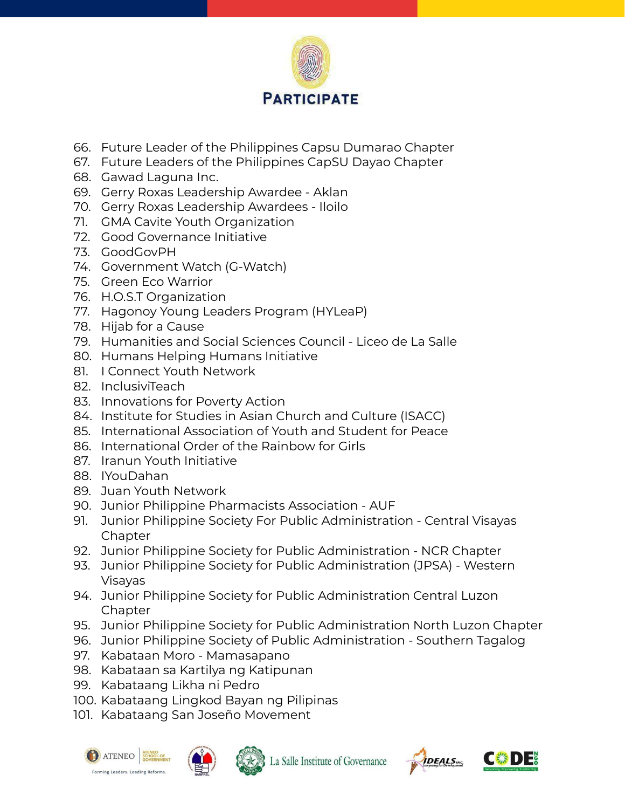

- 66. Future Leader of the Philippines Capsu Dumarao Chapter
- 67. Future Leaders of the Philippines CapSU Dayao Chapter
- 68. Gawad Laguna Inc.
- 69. Gerry Roxas Leadership Awardee Aklan
- 70. Gerry Roxas Leadership Awardees Iloilo
- 71. GMA Cavite Youth Organization
- 72. Good Governance Initiative
- 73. GoodGovPH
- 74. Government Watch (G-Watch)
- 75. Green Eco Warrior
- 76. H.O.S.T Organization
- 77. Hagonoy Young Leaders Program (HYLeaP)
- 78. Hijab for a Cause
- 79. Humanities and Social Sciences Council Liceo de La Salle
- 80. Humans Helping Humans Initiative
- 81. I Connect Youth Network
- 82. InclusiviTeach
- 83. Innovations for Poverty Action
- 84. Institute for Studies in Asian Church and Culture (ISACC)
- 85. International Association of Youth and Student for Peace
- 86. International Order of the Rainbow for Girls
- 87. Iranun Youth Initiative
- 88. IYouDahan
- 89. Juan Youth Network
- 90. Junior Philippine Pharmacists Association AUF
- 91. Junior Philippine Society For Public Administration Central Visayas **Chapter**
- 92. Junior Philippine Society for Public Administration NCR Chapter
- 93. Junior Philippine Society for Public Administration (JPSA) Western Visayas
- 94. Junior Philippine Society for Public Administration Central Luzon **Chapter**
- 95. Junior Philippine Society for Public Administration North Luzon Chapter
- 96. Junior Philippine Society of Public Administration Southern Tagalog
- 97. Kabataan Moro Mamasapano
- 98. Kabataan sa Kartilya ng Katipunan
- 99. Kabataang Likha ni Pedro
- 100. Kabataang Lingkod Bayan ng Pilipinas
- 101. Kabataang San Joseño Movement







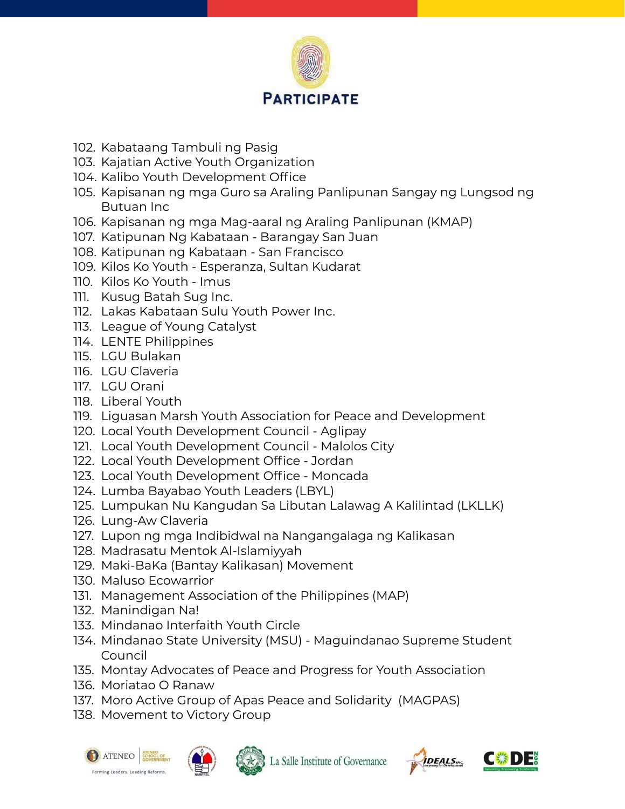

- 102. Kabataang Tambuli ng Pasig
- 103. Kajatian Active Youth Organization
- 104. Kalibo Youth Development Office
- 105. Kapisanan ng mga Guro sa Araling Panlipunan Sangay ng Lungsod ng Butuan Inc
- 106. Kapisanan ng mga Mag-aaral ng Araling Panlipunan (KMAP)
- 107. Katipunan Ng Kabataan Barangay San Juan
- 108. Katipunan ng Kabataan San Francisco
- 109. Kilos Ko Youth Esperanza, Sultan Kudarat
- 110. Kilos Ko Youth Imus
- 111. Kusug Batah Sug Inc.
- 112. Lakas Kabataan Sulu Youth Power Inc.
- 113. League of Young Catalyst
- 114. LENTE Philippines
- 115. LGU Bulakan
- 116. LGU Claveria
- 117. LGU Orani
- 118. Liberal Youth
- 119. Liguasan Marsh Youth Association for Peace and Development
- 120. Local Youth Development Council Aglipay
- 121. Local Youth Development Council Malolos City
- 122. Local Youth Development Office Jordan
- 123. Local Youth Development Office Moncada
- 124. Lumba Bayabao Youth Leaders (LBYL)
- 125. Lumpukan Nu Kangudan Sa Libutan Lalawag A Kalilintad (LKLLK)
- 126. Lung-Aw Claveria
- 127. Lupon ng mga Indibidwal na Nangangalaga ng Kalikasan
- 128. Madrasatu Mentok Al-Islamiyyah
- 129. Maki-BaKa (Bantay Kalikasan) Movement
- 130. Maluso Ecowarrior
- 131. Management Association of the Philippines (MAP)
- 132. Manindigan Na!
- 133. Mindanao Interfaith Youth Circle
- 134. Mindanao State University (MSU) Maguindanao Supreme Student Council
- 135. Montay Advocates of Peace and Progress for Youth Association
- 136. Moriatao O Ranaw
- 137. Moro Active Group of Apas Peace and Solidarity (MAGPAS)
- 138. Movement to Victory Group







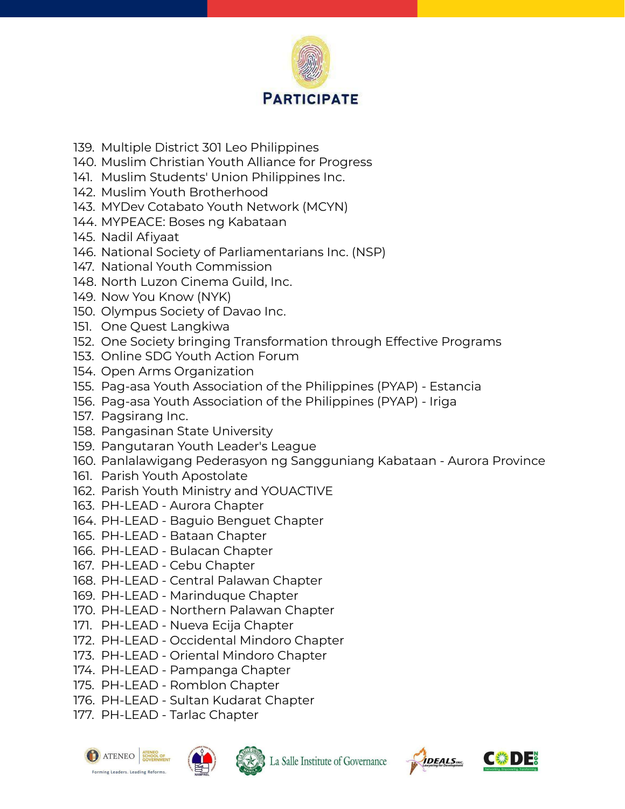

- 139. Multiple District 301 Leo Philippines
- 140. Muslim Christian Youth Alliance for Progress
- 141. Muslim Students' Union Philippines Inc.
- 142. Muslim Youth Brotherhood
- 143. MYDev Cotabato Youth Network (MCYN)
- 144. MYPEACE: Boses ng Kabataan
- 145. Nadil Afiyaat
- 146. National Society of Parliamentarians Inc. (NSP)
- 147. National Youth Commission
- 148. North Luzon Cinema Guild, Inc.
- 149. Now You Know (NYK)
- 150. Olympus Society of Davao Inc.
- 151. One Quest Langkiwa
- 152. One Society bringing Transformation through Effective Programs
- 153. Online SDG Youth Action Forum
- 154. Open Arms Organization
- 155. Pag-asa Youth Association of the Philippines (PYAP) Estancia
- 156. Pag-asa Youth Association of the Philippines (PYAP) Iriga
- 157. Pagsirang Inc.
- 158. Pangasinan State University
- 159. Pangutaran Youth Leader's League
- 160. Panlalawigang Pederasyon ng Sangguniang Kabataan Aurora Province
- 161. Parish Youth Apostolate
- 162. Parish Youth Ministry and YOUACTIVE
- 163. PH-LEAD Aurora Chapter
- 164. PH-LEAD Baguio Benguet Chapter
- 165. PH-LEAD Bataan Chapter
- 166. PH-LEAD Bulacan Chapter
- 167. PH-LEAD Cebu Chapter
- 168. PH-LEAD Central Palawan Chapter
- 169. PH-LEAD Marinduque Chapter
- 170. PH-LEAD Northern Palawan Chapter
- 171. PH-LEAD Nueva Ecija Chapter
- 172. PH-LEAD Occidental Mindoro Chapter
- 173. PH-LEAD Oriental Mindoro Chapter
- 174. PH-LEAD Pampanga Chapter
- 175. PH-LEAD Romblon Chapter
- 176. PH-LEAD Sultan Kudarat Chapter
- 177. PH-LEAD Tarlac Chapter







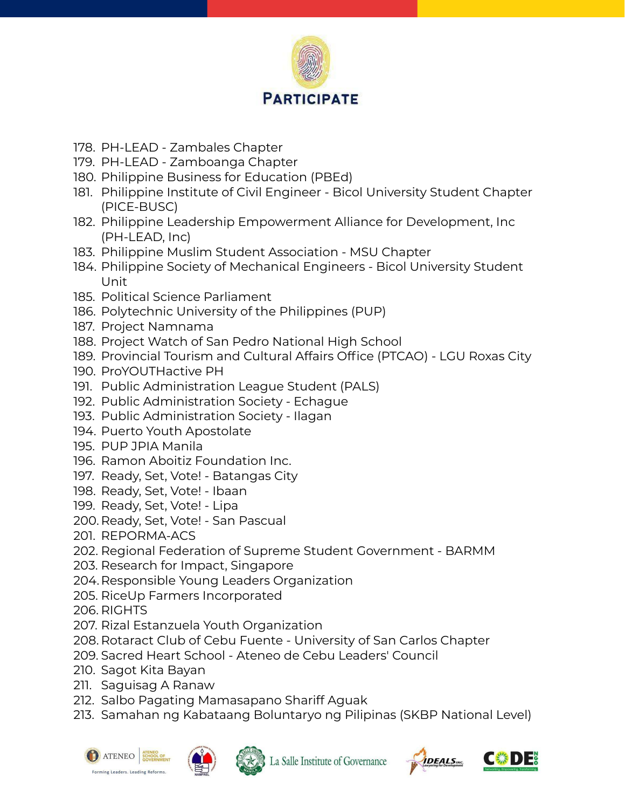

- 178. PH-LEAD Zambales Chapter
- 179. PH-LEAD Zamboanga Chapter
- 180. Philippine Business for Education (PBEd)
- 181. Philippine Institute of Civil Engineer Bicol University Student Chapter (PICE-BUSC)
- 182. Philippine Leadership Empowerment Alliance for Development, Inc (PH-LEAD, Inc)
- 183. Philippine Muslim Student Association MSU Chapter
- 184. Philippine Society of Mechanical Engineers Bicol University Student Unit
- 185. Political Science Parliament
- 186. Polytechnic University of the Philippines (PUP)
- 187. Project Namnama
- 188. Project Watch of San Pedro National High School
- 189. Provincial Tourism and Cultural Affairs Office (PTCAO) LGU Roxas City
- 190. ProYOUTHactive PH
- 191. Public Administration League Student (PALS)
- 192. Public Administration Society Echague
- 193. Public Administration Society Ilagan
- 194. Puerto Youth Apostolate
- 195. PUP JPIA Manila
- 196. Ramon Aboitiz Foundation Inc.
- 197. Ready, Set, Vote! Batangas City
- 198. Ready, Set, Vote! Ibaan
- 199. Ready, Set, Vote! Lipa
- 200. Ready, Set, Vote! San Pascual
- 201. REPORMA-ACS
- 202. Regional Federation of Supreme Student Government BARMM
- 203. Research for Impact, Singapore
- 204.Responsible Young Leaders Organization
- 205. RiceUp Farmers Incorporated
- 206. RIGHTS
- 207. Rizal Estanzuela Youth Organization
- 208. Rotaract Club of Cebu Fuente University of San Carlos Chapter
- 209. Sacred Heart School Ateneo de Cebu Leaders' Council
- 210. Sagot Kita Bayan
- 211. Saguisag A Ranaw
- 212. Salbo Pagating Mamasapano Shariff Aguak
- 213. Samahan ng Kabataang Boluntaryo ng Pilipinas (SKBP National Level)







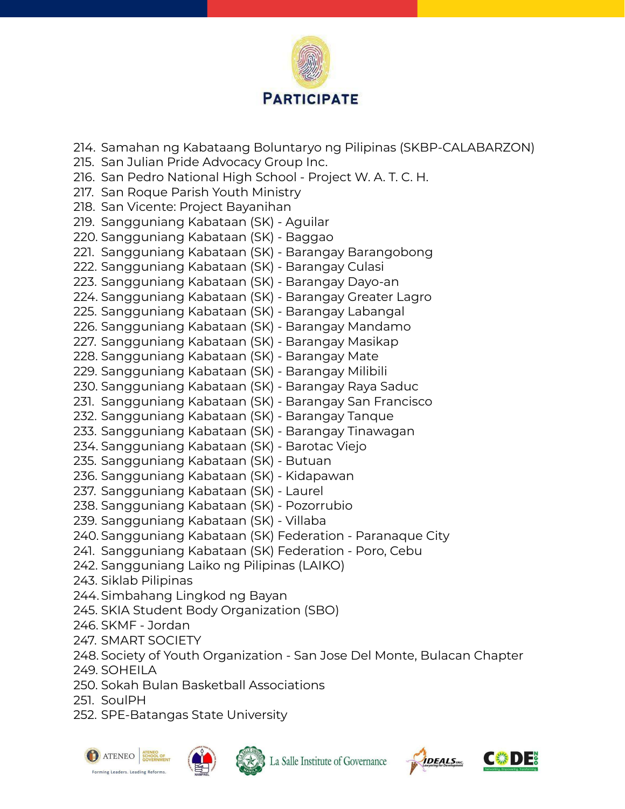

214. Samahan ng Kabataang Boluntaryo ng Pilipinas (SKBP-CALABARZON) 215. San Julian Pride Advocacy Group Inc. 216. San Pedro National High School - Project W. A. T. C. H. 217. San Roque Parish Youth Ministry 218. San Vicente: Project Bayanihan 219. Sangguniang Kabataan (SK) - Aguilar 220. Sangguniang Kabataan (SK) - Baggao 221. Sangguniang Kabataan (SK) - Barangay Barangobong 222. Sangguniang Kabataan (SK) - Barangay Culasi 223. Sangguniang Kabataan (SK) - Barangay Dayo-an 224. Sangguniang Kabataan (SK) - Barangay Greater Lagro 225. Sangguniang Kabataan (SK) - Barangay Labangal 226. Sangguniang Kabataan (SK) - Barangay Mandamo 227. Sangguniang Kabataan (SK) - Barangay Masikap 228. Sangguniang Kabataan (SK) - Barangay Mate 229. Sangguniang Kabataan (SK) - Barangay Milibili 230. Sangguniang Kabataan (SK) - Barangay Raya Saduc 231. Sangguniang Kabataan (SK) - Barangay San Francisco 232. Sangguniang Kabataan (SK) - Barangay Tanque 233. Sangguniang Kabataan (SK) - Barangay Tinawagan 234. Sangguniang Kabataan (SK) - Barotac Viejo 235. Sangguniang Kabataan (SK) - Butuan 236. Sangguniang Kabataan (SK) - Kidapawan 237. Sangguniang Kabataan (SK) - Laurel 238. Sangguniang Kabataan (SK) - Pozorrubio 239. Sangguniang Kabataan (SK) - Villaba 240. Sangguniang Kabataan (SK) Federation - Paranaque City 241. Sangguniang Kabataan (SK) Federation - Poro, Cebu 242. Sangguniang Laiko ng Pilipinas (LAIKO) 243. Siklab Pilipinas 244.Simbahang Lingkod ng Bayan 245. SKIA Student Body Organization (SBO) 246. SKMF - Jordan 247. SMART SOCIETY 248. Society of Youth Organization - San Jose Del Monte, Bulacan Chapter 249. SOHEILA 250. Sokah Bulan Basketball Associations

251. SoulPH

252. SPE-Batangas State University







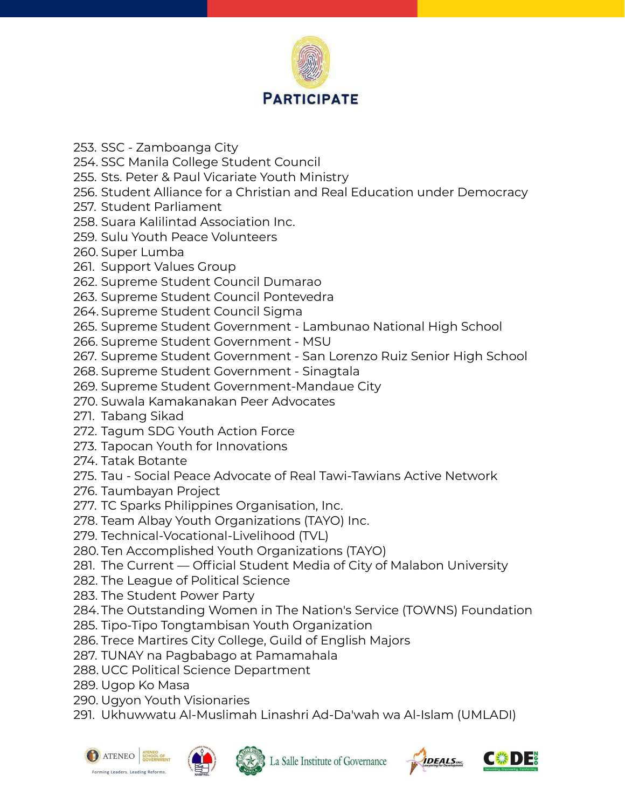

- 253. SSC Zamboanga City
- 254. SSC Manila College Student Council
- 255. Sts. Peter & Paul Vicariate Youth Ministry
- 256. Student Alliance for a Christian and Real Education under Democracy
- 257. Student Parliament
- 258. Suara Kalilintad Association Inc.
- 259. Sulu Youth Peace Volunteers
- 260. Super Lumba
- 261. Support Values Group
- 262. Supreme Student Council Dumarao
- 263. Supreme Student Council Pontevedra
- 264. Supreme Student Council Sigma
- 265. Supreme Student Government Lambunao National High School
- 266. Supreme Student Government MSU
- 267. Supreme Student Government San Lorenzo Ruiz Senior High School
- 268. Supreme Student Government Sinagtala
- 269. Supreme Student Government-Mandaue City
- 270. Suwala Kamakanakan Peer Advocates
- 271. Tabang Sikad
- 272. Tagum SDG Youth Action Force
- 273. Tapocan Youth for Innovations
- 274. Tatak Botante
- 275. Tau Social Peace Advocate of Real Tawi-Tawians Active Network
- 276. Taumbayan Project
- 277. TC Sparks Philippines Organisation, Inc.
- 278. Team Albay Youth Organizations (TAYO) Inc.
- 279. Technical-Vocational-Livelihood (TVL)
- 280. Ten Accomplished Youth Organizations (TAYO)
- 281. The Current Official Student Media of City of Malabon University
- 282. The League of Political Science
- 283. The Student Power Party
- 284. The Outstanding Women in The Nation's Service (TOWNS) Foundation
- 285. Tipo-Tipo Tongtambisan Youth Organization
- 286. Trece Martires City College, Guild of English Majors
- 287. TUNAY na Pagbabago at Pamamahala
- 288. UCC Political Science Department
- 289. Ugop Ko Masa
- 290. Ugyon Youth Visionaries
- 291. Ukhuwwatu Al-Muslimah Linashri Ad-Da'wah wa Al-Islam (UMLADI)







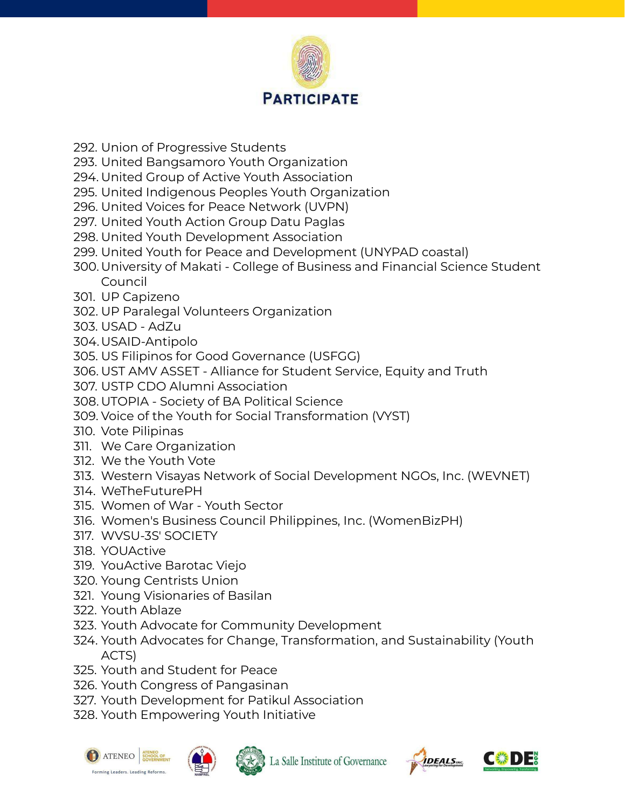

- 292. Union of Progressive Students
- 293. United Bangsamoro Youth Organization
- 294. United Group of Active Youth Association
- 295. United Indigenous Peoples Youth Organization
- 296. United Voices for Peace Network (UVPN)
- 297. United Youth Action Group Datu Paglas
- 298. United Youth Development Association
- 299. United Youth for Peace and Development (UNYPAD coastal)
- 300. University of Makati College of Business and Financial Science Student Council
- 301. UP Capizeno
- 302. UP Paralegal Volunteers Organization
- 303. USAD AdZu
- 304.USAID-Antipolo
- 305. US Filipinos for Good Governance (USFGG)
- 306. UST AMV ASSET Alliance for Student Service, Equity and Truth
- 307. USTP CDO Alumni Association
- 308. UTOPIA Society of BA Political Science
- 309. Voice of the Youth for Social Transformation (VYST)
- 310. Vote Pilipinas
- 311. We Care Organization
- 312. We the Youth Vote
- 313. Western Visayas Network of Social Development NGOs, Inc. (WEVNET)
- 314. WeTheFuturePH
- 315. Women of War Youth Sector
- 316. Women's Business Council Philippines, Inc. (WomenBizPH)
- 317. WVSU-3S' SOCIETY
- 318. YOUActive
- 319. YouActive Barotac Viejo
- 320. Young Centrists Union
- 321. Young Visionaries of Basilan
- 322. Youth Ablaze
- 323. Youth Advocate for Community Development
- 324. Youth Advocates for Change, Transformation, and Sustainability (Youth ACTS)
- 325. Youth and Student for Peace
- 326. Youth Congress of Pangasinan
- 327. Youth Development for Patikul Association
- 328. Youth Empowering Youth Initiative